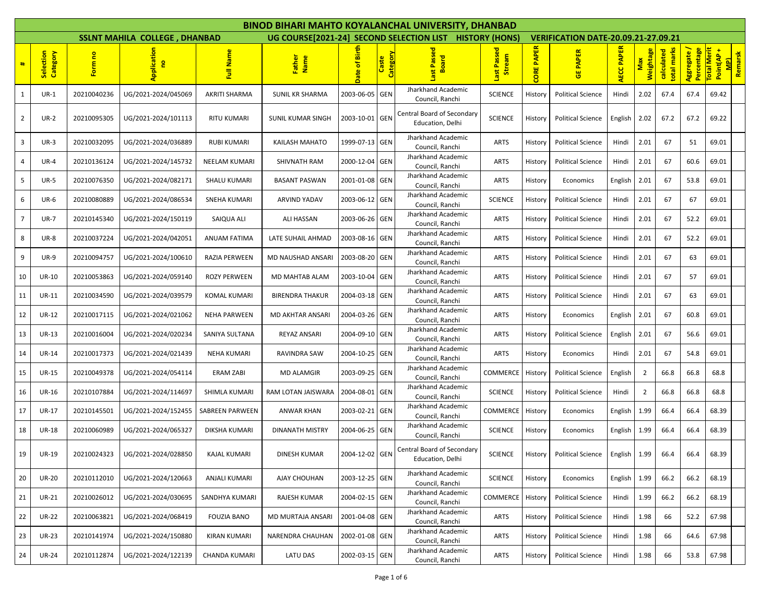|                |                       |             |                                      |                        |                         |                |                   | <b>BINOD BIHARI MAHTO KOYALANCHAL UNIVERSITY, DHANBAD</b>   |                                    |                   |                                            |                   |                         |                           |                           |                                                        |
|----------------|-----------------------|-------------|--------------------------------------|------------------------|-------------------------|----------------|-------------------|-------------------------------------------------------------|------------------------------------|-------------------|--------------------------------------------|-------------------|-------------------------|---------------------------|---------------------------|--------------------------------------------------------|
|                |                       |             | <b>SSLNT MAHILA COLLEGE, DHANBAD</b> |                        |                         |                |                   | UG COURSE [2021-24] SECOND SELECTION LIST HISTORY (HONS)    |                                    |                   | <b>VERIFICATION DATE-20.09.21-27.09.21</b> |                   |                         |                           |                           |                                                        |
| #              | Selection<br>Category | Form no     | plicatio<br>g                        | Full Name              | Father<br>Name          | Date of Birt   | Category<br>Caste | Passed<br><b>Board</b>                                      | Passed<br>ream<br>谒<br><b>last</b> | <b>CORE PAPER</b> | <b>GE PAPER</b>                            | <b>AECC PAPER</b> | <b>Weightage</b><br>Max | total marks<br>calculated | Aggregate /<br>Percentage | <b>otal Merit</b><br><b>MPI</b><br>Remarsk<br>Point(AP |
| 1              | $UR-1$                | 20210040236 | UG/2021-2024/045069                  | AKRITI SHARMA          | SUNIL KR SHARMA         | 2003-06-05 GEN |                   | Jharkhand Academic<br>Council, Ranchi                       | <b>SCIENCE</b>                     | History           | <b>Political Science</b>                   | Hindi             | 2.02                    | 67.4                      | 67.4                      | 69.42                                                  |
| $\overline{2}$ | <b>UR-2</b>           | 20210095305 | UG/2021-2024/101113                  | RITU KUMARI            | SUNIL KUMAR SINGH       | 2003-10-01 GEN |                   | Central Board of Secondary<br>Education, Delhi              | <b>SCIENCE</b>                     | History           | <b>Political Science</b>                   | English           | 2.02                    | 67.2                      | 67.2                      | 69.22                                                  |
| 3              | $UR-3$                | 20210032095 | UG/2021-2024/036889                  | <b>RUBI KUMARI</b>     | KAILASH MAHATO          | 1999-07-13 GEN |                   | Jharkhand Academic<br>Council, Ranchi                       | <b>ARTS</b>                        | History           | <b>Political Science</b>                   | Hindi             | 2.01                    | 67                        | 51                        | 69.01                                                  |
| 4              | <b>UR-4</b>           | 20210136124 | UG/2021-2024/145732                  | <b>NEELAM KUMARI</b>   | SHIVNATH RAM            | 2000-12-04     | GEN               | Jharkhand Academic<br>Council, Ranchi                       | ARTS                               | History           | <b>Political Science</b>                   | Hindi             | 2.01                    | 67                        | 60.6                      | 69.01                                                  |
| 5              | <b>UR-5</b>           | 20210076350 | UG/2021-2024/082171                  | <b>SHALU KUMARI</b>    | <b>BASANT PASWAN</b>    | 2001-01-08 GEN |                   | Jharkhand Academic<br>Council, Ranchi                       | <b>ARTS</b>                        | History           | Economics                                  | English           | 2.01                    | 67                        | 53.8                      | 69.01                                                  |
| 6              | <b>UR-6</b>           | 20210080889 | UG/2021-2024/086534                  | SNEHA KUMARI           | ARVIND YADAV            | 2003-06-12 GEN |                   | Jharkhand Academic<br>Council, Ranchi                       | <b>SCIENCE</b>                     | History           | <b>Political Science</b>                   | Hindi             | 2.01                    | 67                        | 67                        | 69.01                                                  |
| 7              | <b>UR-7</b>           | 20210145340 | UG/2021-2024/150119                  | SAIQUA ALI             | ALI HASSAN              | 2003-06-26 GEN |                   | Jharkhand Academic<br>Council, Ranchi                       | ARTS                               | History           | <b>Political Science</b>                   | Hindi             | 2.01                    | 67                        | 52.2                      | 69.01                                                  |
| 8              | <b>UR-8</b>           | 20210037224 | UG/2021-2024/042051                  | ANUAM FATIMA           | LATE SUHAIL AHMAD       | 2003-08-16 GEN |                   | Jharkhand Academic<br>Council, Ranchi<br>Jharkhand Academic | <b>ARTS</b>                        | History           | <b>Political Science</b>                   | Hindi             | 2.01                    | 67                        | 52.2                      | 69.01                                                  |
| 9              | <b>UR-9</b>           | 20210094757 | UG/2021-2024/100610                  | RAZIA PERWEEN          | MD NAUSHAD ANSARI       | 2003-08-20 GEN |                   | Council, Ranchi                                             | <b>ARTS</b>                        | History           | <b>Political Science</b>                   | Hindi             | 2.01                    | 67                        | 63                        | 69.01                                                  |
| 10             | <b>UR-10</b>          | 20210053863 | UG/2021-2024/059140                  | ROZY PERWEEN           | MD MAHTAB ALAM          | 2003-10-04     | <b>GEN</b>        | Jharkhand Academic<br>Council, Ranchi                       | <b>ARTS</b>                        | History           | <b>Political Science</b>                   | Hindi             | 2.01                    | 67                        | 57                        | 69.01                                                  |
| 11             | UR-11                 | 20210034590 | UG/2021-2024/039579                  | KOMAL KUMARI           | <b>BIRENDRA THAKUR</b>  | 2004-03-18 GEN |                   | Jharkhand Academic<br>Council, Ranchi                       | ARTS                               | History           | <b>Political Science</b>                   | Hindi             | 2.01                    | 67                        | 63                        | 69.01                                                  |
| 12             | <b>UR-12</b>          | 20210017115 | UG/2021-2024/021062                  | <b>NEHA PARWEEN</b>    | MD AKHTAR ANSARI        | 2004-03-26 GEN |                   | Jharkhand Academic<br>Council, Ranchi                       | ARTS                               | History           | Economics                                  | English           | 2.01                    | 67                        | 60.8                      | 69.01                                                  |
| 13             | <b>UR-13</b>          | 20210016004 | UG/2021-2024/020234                  | SANIYA SULTANA         | REYAZ ANSARI            | 2004-09-10 GEN |                   | Jharkhand Academic<br>Council, Ranchi                       | <b>ARTS</b>                        | History           | <b>Political Science</b>                   | English           | 2.01                    | 67                        | 56.6                      | 69.01                                                  |
| 14             | <b>UR-14</b>          | 20210017373 | UG/2021-2024/021439                  | <b>NEHA KUMARI</b>     | RAVINDRA SAW            | 2004-10-25 GEN |                   | Jharkhand Academic<br>Council, Ranchi                       | <b>ARTS</b>                        | History           | Economics                                  | Hindi             | 2.01                    | 67                        | 54.8                      | 69.01                                                  |
| 15             | <b>UR-15</b>          | 20210049378 | UG/2021-2024/054114                  | <b>ERAM ZABI</b>       | MD ALAMGIR              | 2003-09-25 GEN |                   | Jharkhand Academic<br>Council, Ranchi                       | <b>COMMERCE</b>                    | History           | <b>Political Science</b>                   | English           | $\overline{2}$          | 66.8                      | 66.8                      | 68.8                                                   |
| 16             | <b>UR-16</b>          | 20210107884 | UG/2021-2024/114697                  | SHIMLA KUMARI          | RAM LOTAN JAISWARA      | 2004-08-01 GEN |                   | Jharkhand Academic<br>Council, Ranchi                       | <b>SCIENCE</b>                     | History           | <b>Political Science</b>                   | Hindi             | $\overline{2}$          | 66.8                      | 66.8                      | 68.8                                                   |
| 17             | UR-17                 | 20210145501 | UG/2021-2024/152455                  | <b>SABREEN PARWEEN</b> | ANWAR KHAN              | 2003-02-21 GEN |                   | Jharkhand Academic<br>Council, Ranchi                       | COMMERCE                           | History           | Economics                                  | English           | 1.99                    | 66.4                      | 66.4                      | 68.39                                                  |
| 18             | <b>UR-18</b>          | 20210060989 | UG/2021-2024/065327                  | DIKSHA KUMARI          | <b>DINANATH MISTRY</b>  | 2004-06-25 GEN |                   | Jharkhand Academic<br>Council, Ranchi                       | <b>SCIENCE</b>                     | History           | Economics                                  | English           | 1.99                    | 66.4                      | 66.4                      | 68.39                                                  |
| 19             | <b>UR-19</b>          | 20210024323 | UG/2021-2024/028850                  | <b>KAJAL KUMARI</b>    | <b>DINESH KUMAR</b>     | 2004-12-02 GEN |                   | Central Board of Secondary<br>Education, Delhi              | <b>SCIENCE</b>                     | History           | <b>Political Science</b>                   | English           | 1.99                    | 66.4                      | 66.4                      | 68.39                                                  |
| 20             | <b>UR-20</b>          | 20210112010 | UG/2021-2024/120663                  | <b>ANJALI KUMARI</b>   | AJAY CHOUHAN            | 2003-12-25 GEN |                   | Jharkhand Academic<br>Council, Ranchi                       | <b>SCIENCE</b>                     | History           | Economics                                  | English           | 1.99                    | 66.2                      | 66.2                      | 68.19                                                  |
| 21             | <b>UR-21</b>          | 20210026012 | UG/2021-2024/030695                  | SANDHYA KUMARI         | <b>RAJESH KUMAR</b>     | 2004-02-15 GEN |                   | Jharkhand Academic<br>Council, Ranchi                       | <b>COMMERCE</b>                    | History           | <b>Political Science</b>                   | Hindi             | 1.99                    | 66.2                      | 66.2                      | 68.19                                                  |
| 22             | <b>UR-22</b>          | 20210063821 | UG/2021-2024/068419                  | <b>FOUZIA BANO</b>     | MD MURTAJA ANSARI       | 2001-04-08 GEN |                   | Jharkhand Academic<br>Council, Ranchi                       | <b>ARTS</b>                        | History           | <b>Political Science</b>                   | Hindi             | 1.98                    | 66                        | 52.2                      | 67.98                                                  |
| 23             | <b>UR-23</b>          | 20210141974 | UG/2021-2024/150880                  | <b>KIRAN KUMARI</b>    | <b>NARENDRA CHAUHAN</b> | 2002-01-08 GEN |                   | Jharkhand Academic<br>Council, Ranchi                       | <b>ARTS</b>                        | History           | <b>Political Science</b>                   | Hindi             | 1.98                    | 66                        | 64.6                      | 67.98                                                  |
| 24             | <b>UR-24</b>          | 20210112874 | UG/2021-2024/122139                  | CHANDA KUMARI          | LATU DAS                | 2002-03-15 GEN |                   | Jharkhand Academic<br>Council, Ranchi                       | <b>ARTS</b>                        | History           | <b>Political Science</b>                   | Hindi             | 1.98                    | 66                        | 53.8                      | 67.98                                                  |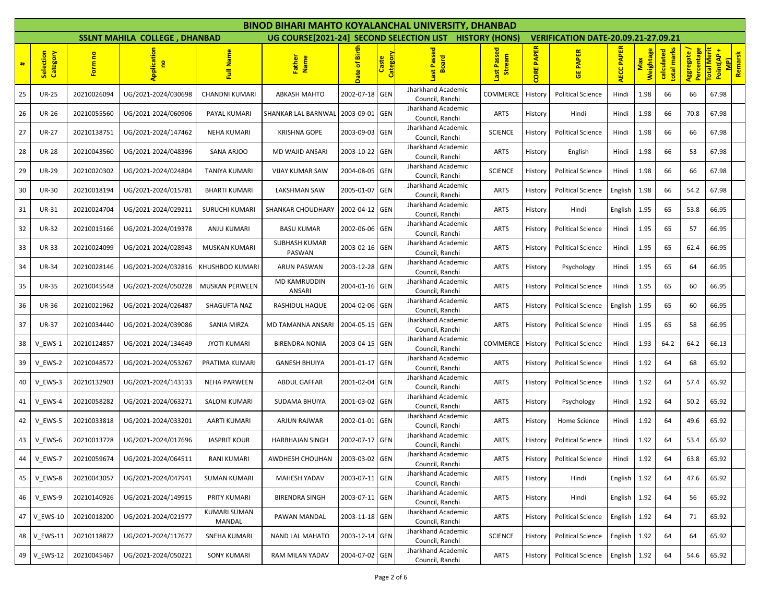|    |                       |             |                                      |                               |                         |                |                          | <b>BINOD BIHARI MAHTO KOYALANCHAL UNIVERSITY, DHANBAD</b> |                          |                   |                                            |                   |                         |                           |                           |                                                         |
|----|-----------------------|-------------|--------------------------------------|-------------------------------|-------------------------|----------------|--------------------------|-----------------------------------------------------------|--------------------------|-------------------|--------------------------------------------|-------------------|-------------------------|---------------------------|---------------------------|---------------------------------------------------------|
|    |                       |             | <b>SSLNT MAHILA COLLEGE, DHANBAD</b> |                               |                         |                |                          | UG COURSE [2021-24] SECOND SELECTION LIST HISTORY (HONS)  |                          |                   | <b>VERIFICATION DATE-20.09.21-27.09.21</b> |                   |                         |                           |                           |                                                         |
| #  | Selection<br>Category | Form no     |                                      | Full Name                     | Father<br>Name          | Date of Birth  | <b>Category</b><br>Caste | Pass<br>卫<br>ē<br>œ                                       | Passed<br>ream<br>谒<br>书 | <b>CORE PAPER</b> | <b>GE PAPER</b>                            | <b>AECC PAPER</b> | <b>Weightage</b><br>Max | total marks<br>calculated | Aggregate /<br>Percentage | <b>Total Merit</b><br><b>MPI</b><br>Remarsk<br>Point(AP |
| 25 | <b>UR-25</b>          | 20210026094 | UG/2021-2024/030698                  | CHANDNI KUMARI                | <b>ABKASH MAHTO</b>     | 2002-07-18 GEN |                          | Jharkhand Academic<br>Council, Ranchi                     | COMMERCE                 | History           | <b>Political Science</b>                   | Hindi             | 1.98                    | 66                        | 66                        | 67.98                                                   |
| 26 | <b>UR-26</b>          | 20210055560 | UG/2021-2024/060906                  | PAYAL KUMARI                  | SHANKAR LAL BARNWAL     | 2003-09-01     | GEN                      | Jharkhand Academic<br>Council, Ranchi                     | ARTS                     | History           | Hindi                                      | Hindi             | 1.98                    | 66                        | 70.8                      | 67.98                                                   |
| 27 | <b>UR-27</b>          | 20210138751 | UG/2021-2024/147462                  | NEHA KUMARI                   | <b>KRISHNA GOPE</b>     | 2003-09-03 GEN |                          | Jharkhand Academic<br>Council, Ranchi                     | <b>SCIENCE</b>           | History           | <b>Political Science</b>                   | Hindi             | 1.98                    | 66                        | 66                        | 67.98                                                   |
| 28 | <b>UR-28</b>          | 20210043560 | UG/2021-2024/048396                  | SANA ARJOO                    | MD WAJID ANSARI         | 2003-10-22     | <b>GEN</b>               | Jharkhand Academic<br>Council, Ranchi                     | ARTS                     | History           | English                                    | Hindi             | 1.98                    | 66                        | 53                        | 67.98                                                   |
| 29 | <b>UR-29</b>          | 20210020302 | UG/2021-2024/024804                  | TANIYA KUMARI                 | <b>VIJAY KUMAR SAW</b>  | 2004-08-05 GEN |                          | Jharkhand Academic<br>Council, Ranchi                     | <b>SCIENCE</b>           | History           | <b>Political Science</b>                   | Hindi             | 1.98                    | 66                        | 66                        | 67.98                                                   |
| 30 | <b>UR-30</b>          | 20210018194 | UG/2021-2024/015781                  | <b>BHARTI KUMARI</b>          | LAKSHMAN SAW            | 2005-01-07 GEN |                          | Jharkhand Academic<br>Council, Ranchi                     | ARTS                     | History           | <b>Political Science</b>                   | English           | 1.98                    | 66                        | 54.2                      | 67.98                                                   |
| 31 | <b>UR-31</b>          | 20210024704 | UG/2021-2024/029211                  | <b>SURUCHI KUMARI</b>         | SHANKAR CHOUDHARY       | 2002-04-12 GEN |                          | Jharkhand Academic<br>Council, Ranchi                     | <b>ARTS</b>              | History           | Hindi                                      | English           | 1.95                    | 65                        | 53.8                      | 66.95                                                   |
| 32 | <b>UR-32</b>          | 20210015166 | UG/2021-2024/019378                  | ANJU KUMARI                   | <b>BASU KUMAR</b>       | 2002-06-06 GEN |                          | Jharkhand Academic<br>Council, Ranchi                     | ARTS                     | History           | <b>Political Science</b>                   | Hindi             | 1.95                    | 65                        | 57                        | 66.95                                                   |
| 33 | <b>UR-33</b>          | 20210024099 | UG/2021-2024/028943                  | MUSKAN KUMARI                 | SUBHASH KUMAR<br>PASWAN | 2003-02-16 GEN |                          | Jharkhand Academic<br>Council, Ranchi                     | <b>ARTS</b>              | History           | <b>Political Science</b>                   | Hindi             | 1.95                    | 65                        | 62.4                      | 66.95                                                   |
| 34 | <b>UR-34</b>          | 20210028146 | UG/2021-2024/032816                  | <b>KHUSHBOO KUMARI</b>        | <b>ARUN PASWAN</b>      | 2003-12-28 GEN |                          | Jharkhand Academic<br>Council, Ranchi                     | ARTS                     | History           | Psychology                                 | Hindi             | 1.95                    | 65                        | 64                        | 66.95                                                   |
| 35 | <b>UR-35</b>          | 20210045548 | UG/2021-2024/050228                  | <b>MUSKAN PERWEEN</b>         | MD KAMRUDDIN<br>ANSARI  | 2004-01-16 GEN |                          | Jharkhand Academic<br>Council, Ranchi                     | ARTS                     | History           | <b>Political Science</b>                   | Hindi             | 1.95                    | 65                        | 60                        | 66.95                                                   |
| 36 | UR-36                 | 20210021962 | UG/2021-2024/026487                  | SHAGUFTA NAZ                  | RASHIDUL HAQUE          | 2004-02-06 GEN |                          | Jharkhand Academic<br>Council, Ranchi                     | ARTS                     | History           | <b>Political Science</b>                   | English           | 1.95                    | 65                        | 60                        | 66.95                                                   |
| 37 | <b>UR-37</b>          | 20210034440 | UG/2021-2024/039086                  | SANIA MIRZA                   | MD TAMANNA ANSARI       | 2004-05-15 GEN |                          | Jharkhand Academic<br>Council, Ranchi                     | ARTS                     | History           | <b>Political Science</b>                   | Hindi             | 1.95                    | 65                        | 58                        | 66.95                                                   |
| 38 | V EWS-1               | 20210124857 | UG/2021-2024/134649                  | <b>JYOTI KUMARI</b>           | <b>BIRENDRA NONIA</b>   | 2003-04-15 GEN |                          | Jharkhand Academic<br>Council, Ranchi                     | COMMERCE                 | History           | <b>Political Science</b>                   | Hindi             | 1.93                    | 64.2                      | 64.2                      | 66.13                                                   |
| 39 | V_EWS-2               | 20210048572 | UG/2021-2024/053267                  | PRATIMA KUMARI                | <b>GANESH BHUIYA</b>    | 2001-01-17 GEN |                          | Jharkhand Academic<br>Council, Ranchi                     | ARTS                     | History           | <b>Political Science</b>                   | Hindi             | 1.92                    | 64                        | 68                        | 65.92                                                   |
| 40 | V EWS-3               | 20210132903 | UG/2021-2024/143133                  | <b>NEHA PARWEEN</b>           | ABDUL GAFFAR            | 2001-02-04 GEN |                          | Jharkhand Academic<br>Council, Ranchi                     | ARTS                     | History           | <b>Political Science</b>                   | Hindi             | 1.92                    | 64                        | 57.4                      | 65.92                                                   |
| 41 | V_EWS-4               | 20210058282 | UG/2021-2024/063271                  | SALONI KUMARI                 | SUDAMA BHUIYA           | 2001-03-02 GEN |                          | Jharkhand Academic<br>Council, Ranchi                     | <b>ARTS</b>              | History           | Psychology                                 | Hindi             | 1.92                    | 64                        | 50.2                      | 65.92                                                   |
| 42 | V EWS-5               | 20210033818 | UG/2021-2024/033201                  | AARTI KUMARI                  | ARJUN RAJWAR            | 2002-01-01 GEN |                          | Jharkhand Academic<br>Council, Ranchi                     | ARTS                     | History           | Home Science                               | Hindi             | 1.92                    | 64                        | 49.6                      | 65.92                                                   |
| 43 | V_EWS-6               | 20210013728 | UG/2021-2024/017696                  | <b>JASPRIT KOUR</b>           | <b>HARBHAJAN SINGH</b>  | 2002-07-17 GEN |                          | Jharkhand Academic<br>Council, Ranchi                     | <b>ARTS</b>              | History           | <b>Political Science</b>                   | Hindi             | 1.92                    | 64                        | 53.4                      | 65.92                                                   |
| 44 | V_EWS-7               | 20210059674 | UG/2021-2024/064511                  | <b>RANI KUMARI</b>            | AWDHESH CHOUHAN         | 2003-03-02 GEN |                          | Jharkhand Academic<br>Council, Ranchi                     | ARTS                     | History           | <b>Political Science</b>                   | Hindi             | 1.92                    | 64                        | 63.8                      | 65.92                                                   |
| 45 | V_EWS-8               | 20210043057 | UG/2021-2024/047941                  | <b>SUMAN KUMARI</b>           | <b>MAHESH YADAV</b>     | 2003-07-11 GEN |                          | Jharkhand Academic<br>Council, Ranchi                     | <b>ARTS</b>              | History           | Hindi                                      | English           | 1.92                    | 64                        | 47.6                      | 65.92                                                   |
| 46 | V EWS-9               | 20210140926 | UG/2021-2024/149915                  | PRITY KUMARI                  | <b>BIRENDRA SINGH</b>   | 2003-07-11 GEN |                          | Jharkhand Academic<br>Council, Ranchi                     | <b>ARTS</b>              | History           | Hindi                                      | English           | 1.92                    | 64                        | 56                        | 65.92                                                   |
| 47 | <b>V_EWS-10</b>       | 20210018200 | UG/2021-2024/021977                  | <b>KUMARI SUMAN</b><br>MANDAL | PAWAN MANDAL            | 2003-11-18 GEN |                          | Jharkhand Academic<br>Council, Ranchi                     | <b>ARTS</b>              | History           | <b>Political Science</b>                   | English           | 1.92                    | 64                        | 71                        | 65.92                                                   |
|    | 48 V_EWS-11           | 20210118872 | UG/2021-2024/117677                  | <b>SNEHA KUMARI</b>           | <b>NAND LAL MAHATO</b>  | 2003-12-14 GEN |                          | Jharkhand Academic<br>Council, Ranchi                     | <b>SCIENCE</b>           | History           | <b>Political Science</b>                   | English           | 1.92                    | 64                        | 64                        | 65.92                                                   |
|    | 49 V_EWS-12           | 20210045467 | UG/2021-2024/050221                  | <b>SONY KUMARI</b>            | RAM MILAN YADAV         | 2004-07-02 GEN |                          | Jharkhand Academic<br>Council, Ranchi                     | <b>ARTS</b>              | History           | <b>Political Science</b>                   | English           | 1.92                    | 64                        | 54.6                      | 65.92                                                   |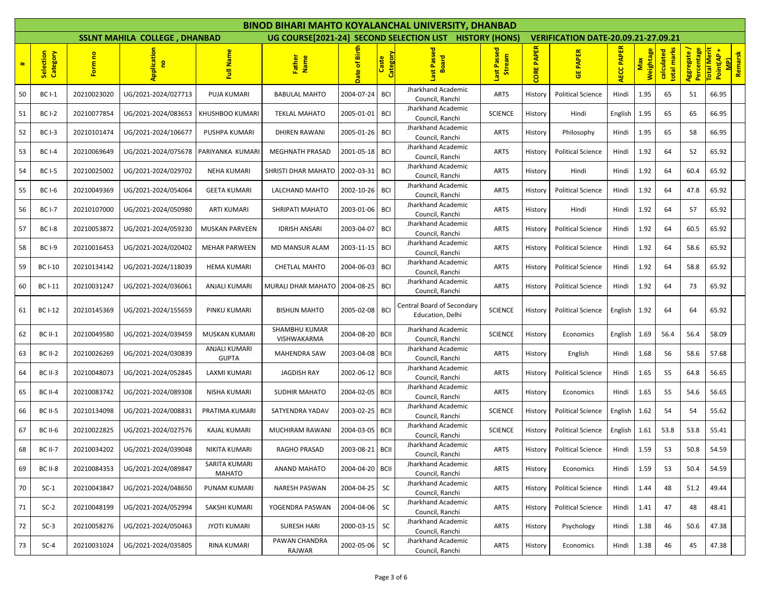|    |                       |             |                                      |                               |                              |                 |                   | <b>BINOD BIHARI MAHTO KOYALANCHAL UNIVERSITY, DHANBAD</b> |                          |                   |                                            |                   |                  |                           |                           |                                                 |
|----|-----------------------|-------------|--------------------------------------|-------------------------------|------------------------------|-----------------|-------------------|-----------------------------------------------------------|--------------------------|-------------------|--------------------------------------------|-------------------|------------------|---------------------------|---------------------------|-------------------------------------------------|
|    |                       |             | <b>SSLNT MAHILA COLLEGE, DHANBAD</b> |                               |                              |                 |                   | UG COURSE[2021-24] SECOND SELECTION LIST HISTORY (HONS)   |                          |                   | <b>VERIFICATION DATE-20.09.21-27.09.21</b> |                   |                  |                           |                           |                                                 |
| #  | Selection<br>Category | Form no     | Applicatio<br>g                      | Full Name                     | Father<br>Name               | Date of Birth   | Category<br>Caste | Passe<br><b>Board</b>                                     | Passed<br>ream<br>谒<br>帮 | <b>CORE PAPER</b> | <b>GE PAPER</b>                            | <b>AECC PAPER</b> | Weightage<br>Max | total marks<br>calculated | Aggregate /<br>Percentage | otal Merit<br><b>MPI</b><br>Remarsk<br>Point(AP |
| 50 | <b>BC I-1</b>         | 20210023020 | UG/2021-2024/027713                  | PUJA KUMARI                   | <b>BABULAL MAHTO</b>         | 2004-07-24      | <b>BCI</b>        | Jharkhand Academic<br>Council, Ranchi                     | <b>ARTS</b>              | History           | <b>Political Science</b>                   | Hindi             | 1.95             | 65                        | 51                        | 66.95                                           |
| 51 | <b>BC I-2</b>         | 20210077854 | UG/2021-2024/083653                  | KHUSHBOO KUMARI               | <b>TEKLAL MAHATO</b>         | 2005-01-01      | <b>BCI</b>        | Jharkhand Academic<br>Council, Ranchi                     | <b>SCIENCE</b>           | History           | Hindi                                      | English           | 1.95             | 65                        | 65                        | 66.95                                           |
| 52 | <b>BC I-3</b>         | 20210101474 | UG/2021-2024/106677                  | PUSHPA KUMARI                 | <b>DHIREN RAWANI</b>         | 2005-01-26      | <b>BCI</b>        | Jharkhand Academic<br>Council, Ranchi                     | <b>ARTS</b>              | History           | Philosophy                                 | Hindi             | 1.95             | 65                        | 58                        | 66.95                                           |
| 53 | <b>BC I-4</b>         | 20210069649 | UG/2021-2024/075678                  | PARIYANKA KUMARI              | <b>MEGHNATH PRASAD</b>       | 2001-05-18      | BCI               | Jharkhand Academic<br>Council, Ranchi                     | ARTS                     | History           | <b>Political Science</b>                   | Hindi             | 1.92             | 64                        | 52                        | 65.92                                           |
| 54 | <b>BC I-5</b>         | 20210025002 | UG/2021-2024/029702                  | <b>NEHA KUMARI</b>            | SHRISTI DHAR MAHATO          | 2002-03-31      | <b>BCI</b>        | Jharkhand Academic<br>Council, Ranchi                     | <b>ARTS</b>              | History           | Hindi                                      | Hindi             | 1.92             | 64                        | 60.4                      | 65.92                                           |
| 55 | <b>BC I-6</b>         | 20210049369 | UG/2021-2024/054064                  | <b>GEETA KUMARI</b>           | LALCHAND MAHTO               | 2002-10-26      | <b>BCI</b>        | Jharkhand Academic<br>Council, Ranchi                     | <b>ARTS</b>              | History           | <b>Political Science</b>                   | Hindi             | 1.92             | 64                        | 47.8                      | 65.92                                           |
| 56 | <b>BC I-7</b>         | 20210107000 | UG/2021-2024/050980                  | <b>ARTI KUMARI</b>            | SHRIPATI MAHATO              | 2003-01-06      | <b>BCI</b>        | Jharkhand Academic<br>Council, Ranchi                     | <b>ARTS</b>              | History           | Hindi                                      | Hindi             | 1.92             | 64                        | 57                        | 65.92                                           |
| 57 | <b>BC I-8</b>         | 20210053872 | UG/2021-2024/059230                  | <b>MUSKAN PARVEEN</b>         | <b>IDRISH ANSARI</b>         | 2003-04-07      | <b>BCI</b>        | Jharkhand Academic<br>Council, Ranchi                     | <b>ARTS</b>              | History           | <b>Political Science</b>                   | Hindi             | 1.92             | 64                        | 60.5                      | 65.92                                           |
| 58 | <b>BC I-9</b>         | 20210016453 | UG/2021-2024/020402                  | <b>MEHAR PARWEEN</b>          | MD MANSUR ALAM               | 2003-11-15      | BCI               | Jharkhand Academic<br>Council, Ranchi                     | <b>ARTS</b>              | History           | <b>Political Science</b>                   | Hindi             | 1.92             | 64                        | 58.6                      | 65.92                                           |
| 59 | <b>BC I-10</b>        | 20210134142 | UG/2021-2024/118039                  | <b>HEMA KUMARI</b>            | <b>CHETLAL MAHTO</b>         | 2004-06-03      | BCI               | Jharkhand Academic<br>Council, Ranchi                     | <b>ARTS</b>              | History           | <b>Political Science</b>                   | Hindi             | 1.92             | 64                        | 58.8                      | 65.92                                           |
| 60 | <b>BC I-11</b>        | 20210031247 | UG/2021-2024/036061                  | ANJALI KUMARI                 | MURALI DHAR MAHATO           | 2004-08-25      | <b>BCI</b>        | Jharkhand Academic<br>Council, Ranchi                     | <b>ARTS</b>              | History           | <b>Political Science</b>                   | Hindi             | 1.92             | 64                        | 73                        | 65.92                                           |
| 61 | <b>BC I-12</b>        | 20210145369 | UG/2021-2024/155659                  | PINKU KUMARI                  | <b>BISHUN MAHTO</b>          | 2005-02-08      | <b>BCI</b>        | Central Board of Secondary<br>Education, Delhi            | <b>SCIENCE</b>           | History           | <b>Political Science</b>                   | English           | 1.92             | 64                        | 64                        | 65.92                                           |
| 62 | <b>BC II-1</b>        | 20210049580 | UG/2021-2024/039459                  | MUSKAN KUMARI                 | SHAMBHU KUMAR<br>VISHWAKARMA | 2004-08-20 BCII |                   | Jharkhand Academic<br>Council, Ranchi                     | <b>SCIENCE</b>           | History           | Economics                                  | English           | 1.69             | 56.4                      | 56.4                      | 58.09                                           |
| 63 | <b>BC II-2</b>        | 20210026269 | UG/2021-2024/030839                  | ANJALI KUMARI<br><b>GUPTA</b> | <b>MAHENDRA SAW</b>          | 2003-04-08      | <b>BCII</b>       | Jharkhand Academic<br>Council, Ranchi                     | <b>ARTS</b>              | History           | English                                    | Hindi             | 1.68             | 56                        | 58.6                      | 57.68                                           |
| 64 | <b>BC II-3</b>        | 20210048073 | UG/2021-2024/052845                  | LAXMI KUMARI                  | JAGDISH RAY                  | 2002-06-12 BCII |                   | Jharkhand Academic<br>Council, Ranchi                     | <b>ARTS</b>              | History           | <b>Political Science</b>                   | Hindi             | 1.65             | 55                        | 64.8                      | 56.65                                           |
| 65 | <b>BC II-4</b>        | 20210083742 | UG/2021-2024/089308                  | NISHA KUMARI                  | <b>SUDHIR MAHATO</b>         | 2004-02-05      | <b>BCII</b>       | Jharkhand Academic<br>Council, Ranchi                     | <b>ARTS</b>              | History           | Economics                                  | Hindi             | 1.65             | 55                        | 54.6                      | 56.65                                           |
| 66 | <b>BC II-5</b>        | 20210134098 | UG/2021-2024/008831                  | PRATIMA KUMARI                | SATYENDRA YADAV              | 2003-02-25      | <b>BCII</b>       | Jharkhand Academic<br>Council, Ranchi                     | <b>SCIENCE</b>           | History           | <b>Political Science</b>                   | English           | 1.62             | 54                        | 54                        | 55.62                                           |
| 67 | <b>BC II-6</b>        | 20210022825 | UG/2021-2024/027576                  | KAJAL KUMARI                  | MUCHIRAM RAWANI              | 2004-03-05      | <b>BCII</b>       | Jharkhand Academic<br>Council, Ranchi                     | <b>SCIENCE</b>           | History           | <b>Political Science</b>                   | English           | 1.61             | 53.8                      | 53.8                      | 55.41                                           |
| 68 | <b>BC II-7</b>        | 20210034202 | UG/2021-2024/039048                  | NIKITA KUMARI                 | <b>RAGHO PRASAD</b>          | 2003-08-21 BCII |                   | Jharkhand Academic<br>Council, Ranchi                     | ARTS                     | History           | <b>Political Science</b>                   | Hindi             | 1.59             | 53                        | 50.8                      | 54.59                                           |
| 69 | BC II-8               | 20210084353 | UG/2021-2024/089847                  | SARITA KUMARI<br>MAHATO       | <b>ANAND MAHATO</b>          | 2004-04-20 BCII |                   | Jharkhand Academic<br>Council, Ranchi                     | <b>ARTS</b>              | History           | Economics                                  | Hindi             | 1.59             | 53                        | 50.4                      | 54.59                                           |
| 70 | $SC-1$                | 20210043847 | UG/2021-2024/048650                  | PUNAM KUMARI                  | <b>NARESH PASWAN</b>         | 2004-04-25      | SC                | Jharkhand Academic<br>Council, Ranchi                     | <b>ARTS</b>              | History           | <b>Political Science</b>                   | Hindi             | 1.44             | 48                        | 51.2                      | 49.44                                           |
| 71 | $SC-2$                | 20210048199 | UG/2021-2024/052994                  | SAKSHI KUMARI                 | YOGENDRA PASWAN              | 2004-04-06      | SC                | Jharkhand Academic<br>Council, Ranchi                     | <b>ARTS</b>              | History           | <b>Political Science</b>                   | Hindi             | 1.41             | 47                        | 48                        | 48.41                                           |
| 72 | $SC-3$                | 20210058276 | UG/2021-2024/050463                  | <b>JYOTI KUMARI</b>           | <b>SURESH HARI</b>           | 2000-03-15      | SC                | Jharkhand Academic<br>Council, Ranchi                     | <b>ARTS</b>              | History           | Psychology                                 | Hindi             | 1.38             | 46                        | 50.6                      | 47.38                                           |
| 73 | $SC-4$                | 20210031024 | UG/2021-2024/035805                  | RINA KUMARI                   | PAWAN CHANDRA<br>RAJWAR      | 2002-05-06      | <b>SC</b>         | Jharkhand Academic<br>Council, Ranchi                     | <b>ARTS</b>              | History           | Economics                                  | Hindi             | 1.38             | 46                        | 45                        | 47.38                                           |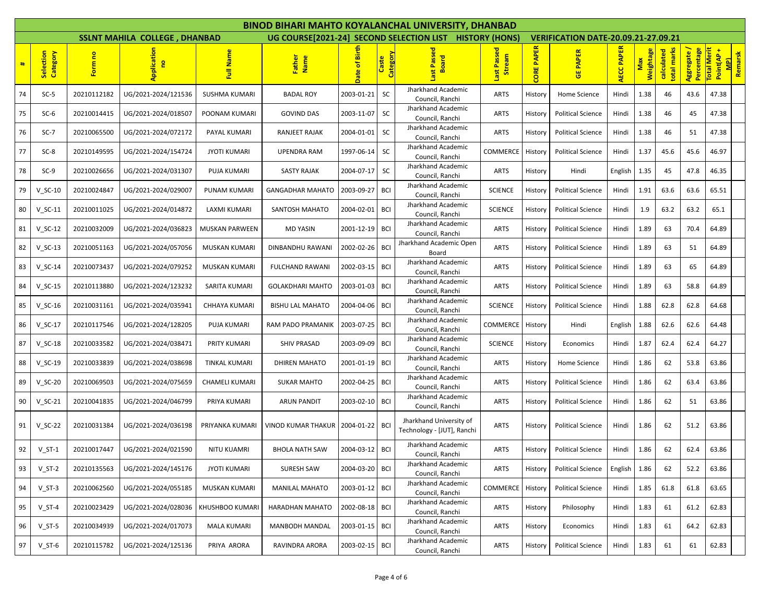|    |                       |             |                                      |                       |                           |                |                          | <b>BINOD BIHARI MAHTO KOYALANCHAL UNIVERSITY, DHANBAD</b> |                             |                   |                                            |                   |                  |                           |                           |                                                 |
|----|-----------------------|-------------|--------------------------------------|-----------------------|---------------------------|----------------|--------------------------|-----------------------------------------------------------|-----------------------------|-------------------|--------------------------------------------|-------------------|------------------|---------------------------|---------------------------|-------------------------------------------------|
|    |                       |             | <b>SSLNT MAHILA COLLEGE, DHANBAD</b> |                       |                           |                |                          | UG COURSE[2021-24] SECOND SELECTION LIST HISTORY (HONS)   |                             |                   | <b>VERIFICATION DATE-20.09.21-27.09.21</b> |                   |                  |                           |                           |                                                 |
| #  | Selection<br>Category | Form no     | Applicatio                           | Full Name             | Father<br>Name            | Date of Birth  | <b>Category</b><br>Caste | Passed<br><b>Board</b><br>书                               | Passed<br>ream<br>苟<br>Last | <b>CORE PAPER</b> | <b>PAPER</b><br>$\overline{5}$             | <b>AECC PAPER</b> | Weightage<br>Max | total marks<br>calculated | Percentage<br>Aggregate / | otal Merit<br><b>MPI</b><br>Remarsk<br>Point(AP |
| 74 | $SC-5$                | 20210112182 | UG/2021-2024/121536                  | <b>SUSHMA KUMARI</b>  | <b>BADAL ROY</b>          | 2003-01-21     | <b>SC</b>                | Jharkhand Academic<br>Council, Ranchi                     | <b>ARTS</b>                 | History           | Home Science                               | Hindi             | 1.38             | 46                        | 43.6                      | 47.38                                           |
| 75 | $SC-6$                | 20210014415 | UG/2021-2024/018507                  | POONAM KUMARI         | <b>GOVIND DAS</b>         | 2003-11-07     | <b>SC</b>                | Jharkhand Academic<br>Council, Ranchi                     | <b>ARTS</b>                 | History           | <b>Political Science</b>                   | Hindi             | 1.38             | 46                        | 45                        | 47.38                                           |
| 76 | $SC-7$                | 20210065500 | UG/2021-2024/072172                  | PAYAL KUMARI          | <b>RANJEET RAJAK</b>      | 2004-01-01     | <b>SC</b>                | Jharkhand Academic<br>Council, Ranchi                     | ARTS                        | History           | <b>Political Science</b>                   | Hindi             | 1.38             | 46                        | 51                        | 47.38                                           |
| 77 | $SC-8$                | 20210149595 | UG/2021-2024/154724                  | <b>JYOTI KUMARI</b>   | <b>UPENDRA RAM</b>        | 1997-06-14     | SC                       | Jharkhand Academic<br>Council, Ranchi                     | COMMERCE                    | History           | <b>Political Science</b>                   | Hindi             | 1.37             | 45.6                      | 45.6                      | 46.97                                           |
| 78 | $SC-9$                | 20210026656 | UG/2021-2024/031307                  | PUJA KUMARI           | <b>SASTY RAJAK</b>        | 2004-07-17     | <b>SC</b>                | Jharkhand Academic<br>Council, Ranchi                     | ARTS                        | History           | Hindi                                      | English           | 1.35             | 45                        | 47.8                      | 46.35                                           |
| 79 | $V$ SC-10             | 20210024847 | UG/2021-2024/029007                  | PUNAM KUMARI          | <b>GANGADHAR MAHATO</b>   | 2003-09-27     | BCI                      | Jharkhand Academic<br>Council, Ranchi                     | <b>SCIENCE</b>              | History           | <b>Political Science</b>                   | Hindi             | 1.91             | 63.6                      | 63.6                      | 65.51                                           |
| 80 | $V_S$ C-11            | 20210011025 | UG/2021-2024/014872                  | <b>LAXMI KUMARI</b>   | <b>SANTOSH MAHATO</b>     | 2004-02-01     | <b>BCI</b>               | Jharkhand Academic<br>Council, Ranchi                     | <b>SCIENCE</b>              | History           | <b>Political Science</b>                   | Hindi             | 1.9              | 63.2                      | 63.2                      | 65.1                                            |
| 81 | $V$ SC-12             | 20210032009 | UG/2021-2024/036823                  | <b>MUSKAN PARWEEN</b> | <b>MD YASIN</b>           | 2001-12-19     | BCI                      | Jharkhand Academic<br>Council, Ranchi                     | <b>ARTS</b>                 | History           | <b>Political Science</b>                   | Hindi             | 1.89             | 63                        | 70.4                      | 64.89                                           |
| 82 | $V_S$ C-13            | 20210051163 | UG/2021-2024/057056                  | MUSKAN KUMARI         | DINBANDHU RAWANI          | 2002-02-26     | BCI                      | Jharkhand Academic Open<br>Board                          | ARTS                        | History           | <b>Political Science</b>                   | Hindi             | 1.89             | 63                        | 51                        | 64.89                                           |
| 83 | $V$ SC-14             | 20210073437 | UG/2021-2024/079252                  | MUSKAN KUMARI         | <b>FULCHAND RAWANI</b>    | 2002-03-15     | BCI                      | Jharkhand Academic<br>Council, Ranchi                     | <b>ARTS</b>                 | History           | <b>Political Science</b>                   | Hindi             | 1.89             | 63                        | 65                        | 64.89                                           |
| 84 | $V_SC-15$             | 20210113880 | UG/2021-2024/123232                  | <b>SARITA KUMARI</b>  | <b>GOLAKDHARI MAHTO</b>   | 2003-01-03     | <b>BCI</b>               | Jharkhand Academic<br>Council, Ranchi                     | <b>ARTS</b>                 | History           | <b>Political Science</b>                   | Hindi             | 1.89             | 63                        | 58.8                      | 64.89                                           |
| 85 | $V$ SC-16             | 20210031161 | UG/2021-2024/035941                  | <b>CHHAYA KUMARI</b>  | <b>BISHU LAL MAHATO</b>   | 2004-04-06     | BCI                      | Jharkhand Academic<br>Council, Ranchi                     | <b>SCIENCE</b>              | History           | <b>Political Science</b>                   | Hindi             | 1.88             | 62.8                      | 62.8                      | 64.68                                           |
| 86 | $V_S$ C-17            | 20210117546 | UG/2021-2024/128205                  | <b>PUJA KUMARI</b>    | RAM PADO PRAMANIK         | 2003-07-25     | <b>BCI</b>               | Jharkhand Academic<br>Council, Ranchi                     | COMMERCE                    | History           | Hindi                                      | English           | 1.88             | 62.6                      | 62.6                      | 64.48                                           |
| 87 | $V$ SC-18             | 20210033582 | UG/2021-2024/038471                  | PRITY KUMARI          | <b>SHIV PRASAD</b>        | 2003-09-09     | BCI                      | Jharkhand Academic<br>Council, Ranchi                     | <b>SCIENCE</b>              | History           | Economics                                  | Hindi             | 1.87             | 62.4                      | 62.4                      | 64.27                                           |
| 88 | $V_SC-19$             | 20210033839 | UG/2021-2024/038698                  | <b>TINKAL KUMARI</b>  | <b>DHIREN MAHATO</b>      | 2001-01-19     | <b>BCI</b>               | Jharkhand Academic<br>Council, Ranchi                     | <b>ARTS</b>                 | History           | Home Science                               | Hindi             | 1.86             | 62                        | 53.8                      | 63.86                                           |
| 89 | $V$ SC-20             | 20210069503 | UG/2021-2024/075659                  | <b>CHAMELI KUMARI</b> | <b>SUKAR MAHTO</b>        | 2002-04-25     | BCI                      | Jharkhand Academic<br>Council, Ranchi                     | <b>ARTS</b>                 | History           | <b>Political Science</b>                   | Hindi             | 1.86             | 62                        | 63.4                      | 63.86                                           |
| 90 | $V_SC-21$             | 20210041835 | UG/2021-2024/046799                  | PRIYA KUMARI          | <b>ARUN PANDIT</b>        | 2003-02-10     | BCI                      | Jharkhand Academic<br>Council, Ranchi                     | <b>ARTS</b>                 | History           | <b>Political Science</b>                   | Hindi             | 1.86             | 62                        | 51                        | 63.86                                           |
| 91 | $V_SC-22$             | 20210031384 | UG/2021-2024/036198                  | PRIYANKA KUMARI       | <b>VINOD KUMAR THAKUR</b> | 2004-01-22 BCI |                          | Jharkhand University of<br>Technology - [JUT], Ranchi     | <b>ARTS</b>                 | History           | <b>Political Science</b>                   | Hindi             | 1.86             | 62                        | 51.2                      | 63.86                                           |
| 92 | $V_S$ T-1             | 20210017447 | UG/2021-2024/021590                  | NITU KUAMRI           | <b>BHOLA NATH SAW</b>     | 2004-03-12 BCI |                          | Jharkhand Academic<br>Council, Ranchi                     | ARTS                        | History           | <b>Political Science</b>                   | Hindi             | 1.86             | 62                        | 62.4                      | 63.86                                           |
| 93 | $V_S$ T-2             | 20210135563 | UG/2021-2024/145176                  | <b>JYOTI KUMARI</b>   | SURESH SAW                | 2004-03-20 BCI |                          | Jharkhand Academic<br>Council, Ranchi                     | <b>ARTS</b>                 | History           | <b>Political Science</b>                   | English           | 1.86             | 62                        | 52.2                      | 63.86                                           |
| 94 | $V_S$ T-3             | 20210062560 | UG/2021-2024/055185                  | MUSKAN KUMARI         | <b>MANILAL MAHATO</b>     | 2003-01-12     | <b>BCI</b>               | Jharkhand Academic<br>Council, Ranchi                     | COMMERCE                    | History           | <b>Political Science</b>                   | Hindi             | 1.85             | 61.8                      | 61.8                      | 63.65                                           |
| 95 | $V_S$ T-4             | 20210023429 | UG/2021-2024/028036                  | KHUSHBOO KUMARI       | HARADHAN MAHATO           | 2002-08-18     | BCI                      | Jharkhand Academic<br>Council, Ranchi                     | <b>ARTS</b>                 | History           | Philosophy                                 | Hindi             | 1.83             | 61                        | 61.2                      | 62.83                                           |
| 96 | $V_S$ T-5             | 20210034939 | UG/2021-2024/017073                  | <b>MALA KUMARI</b>    | MANBODH MANDAL            | 2003-01-15 BCI |                          | Jharkhand Academic<br>Council, Ranchi                     | ARTS                        | History           | Economics                                  | Hindi             | 1.83             | 61                        | 64.2                      | 62.83                                           |
| 97 | $V_S$ T-6             | 20210115782 | UG/2021-2024/125136                  | PRIYA ARORA           | RAVINDRA ARORA            | 2003-02-15 BCI |                          | Jharkhand Academic<br>Council, Ranchi                     | <b>ARTS</b>                 | History           | <b>Political Science</b>                   | Hindi             | 1.83             | 61                        | 61                        | 62.83                                           |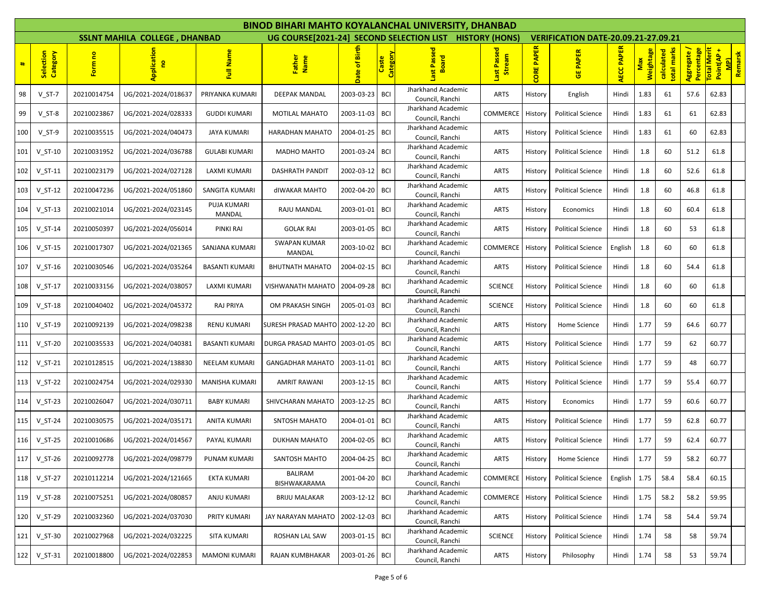|     |                       |             |                                      |                       |                                |                |                          | <b>BINOD BIHARI MAHTO KOYALANCHAL UNIVERSITY, DHANBAD</b> |                         |                      |                                            |                   |                  |                           |                           |                                                 |
|-----|-----------------------|-------------|--------------------------------------|-----------------------|--------------------------------|----------------|--------------------------|-----------------------------------------------------------|-------------------------|----------------------|--------------------------------------------|-------------------|------------------|---------------------------|---------------------------|-------------------------------------------------|
|     |                       |             | <b>SSLNT MAHILA COLLEGE, DHANBAD</b> |                       |                                |                |                          | UG COURSE [2021-24] SECOND SELECTION LIST HISTORY (HONS)  |                         |                      | <b>VERIFICATION DATE-20.09.21-27.09.21</b> |                   |                  |                           |                           |                                                 |
| #   | Selection<br>Category | Form no     |                                      | Full Name             | Father<br>Name                 | Date of Birth  | <b>Category</b><br>Caste | Passe<br>oard<br>Φ                                        | Passed<br>eam<br>昂<br>冨 | <b>PAPER</b><br>CORE | <b>GE PAPER</b>                            | <b>AECC PAPER</b> | Weightage<br>Max | total marks<br>calculated | Aggregate /<br>Percentage | otal Merit<br><b>MPI</b><br>Remarsk<br>Point(AP |
| 98  | $V_S$ T-7             | 20210014754 | UG/2021-2024/018637                  | PRIYANKA KUMARI       | DEEPAK MANDAL                  | 2003-03-23     | BCI                      | Jharkhand Academic<br>Council, Ranchi                     | <b>ARTS</b>             | History              | English                                    | Hindi             | 1.83             | 61                        | 57.6                      | 62.83                                           |
| 99  | $V_S$ T-8             | 20210023867 | UG/2021-2024/028333                  | <b>GUDDI KUMARI</b>   | <b>MOTILAL MAHATO</b>          | 2003-11-03     | <b>BCI</b>               | Jharkhand Academic<br>Council, Ranchi                     | COMMERCE                | History              | <b>Political Science</b>                   | Hindi             | 1.83             | 61                        | 61                        | 62.83                                           |
| 100 | $V_S$ T-9             | 20210035515 | UG/2021-2024/040473                  | <b>JAYA KUMARI</b>    | HARADHAN MAHATO                | 2004-01-25     | BCI                      | Jharkhand Academic<br>Council, Ranchi                     | <b>ARTS</b>             | History              | <b>Political Science</b>                   | Hindi             | 1.83             | 61                        | 60                        | 62.83                                           |
| 101 | $V_S$ T-10            | 20210031952 | UG/2021-2024/036788                  | <b>GULABI KUMARI</b>  | MADHO MAHTO                    | 2001-03-24     | BCI                      | Jharkhand Academic<br>Council, Ranchi                     | <b>ARTS</b>             | History              | <b>Political Science</b>                   | Hindi             | 1.8              | 60                        | 51.2                      | 61.8                                            |
| 102 | $V_S$ T-11            | 20210023179 | UG/2021-2024/027128                  | LAXMI KUMARI          | <b>DASHRATH PANDIT</b>         | 2002-03-12 BCI |                          | Jharkhand Academic<br>Council, Ranchi                     | ARTS                    | History              | <b>Political Science</b>                   | Hindi             | 1.8              | 60                        | 52.6                      | 61.8                                            |
| 103 | $V_S$ T-12            | 20210047236 | UG/2021-2024/051860                  | SANGITA KUMARI        | dIWAKAR MAHTO                  | 2002-04-20     | BCI                      | Jharkhand Academic<br>Council, Ranchi                     | ARTS                    | History              | <b>Political Science</b>                   | Hindi             | 1.8              | 60                        | 46.8                      | 61.8                                            |
| 104 | $V_S$ T-13            | 20210021014 | UG/2021-2024/023145                  | PUJA KUMARI<br>MANDAL | RAJU MANDAL                    | 2003-01-01     | <b>BCI</b>               | Jharkhand Academic<br>Council, Ranchi                     | <b>ARTS</b>             | History              | Economics                                  | Hindi             | 1.8              | 60                        | 60.4                      | 61.8                                            |
| 105 | $V_S$ T-14            | 20210050397 | UG/2021-2024/056014                  | PINKI RAI             | <b>GOLAK RAI</b>               | 2003-01-05     | BCI                      | Jharkhand Academic<br>Council, Ranchi                     | <b>ARTS</b>             | History              | <b>Political Science</b>                   | Hindi             | 1.8              | 60                        | 53                        | 61.8                                            |
| 106 | $V_S$ T-15            | 20210017307 | UG/2021-2024/021365                  | SANJANA KUMARI        | <b>SWAPAN KUMAR</b><br>MANDAL  | 2003-10-02 BCI |                          | Jharkhand Academic<br>Council, Ranchi                     | COMMERCE                | History              | <b>Political Science</b>                   | English           | 1.8              | 60                        | 60                        | 61.8                                            |
| 107 | $V_S$ T-16            | 20210030546 | UG/2021-2024/035264                  | <b>BASANTI KUMARI</b> | <b>BHUTNATH MAHATO</b>         | 2004-02-15     | BCI                      | Jharkhand Academic<br>Council, Ranchi                     | <b>ARTS</b>             | History              | <b>Political Science</b>                   | Hindi             | 1.8              | 60                        | 54.4                      | 61.8                                            |
| 108 | $V_S$ T-17            | 20210033156 | UG/2021-2024/038057                  | LAXMI KUMARI          | VISHWANATH MAHATO              | 2004-09-28     | <b>BCI</b>               | Jharkhand Academic<br>Council, Ranchi                     | <b>SCIENCE</b>          | History              | <b>Political Science</b>                   | Hindi             | 1.8              | 60                        | 60                        | 61.8                                            |
| 109 | $V_S$ T-18            | 20210040402 | UG/2021-2024/045372                  | RAJ PRIYA             | OM PRAKASH SINGH               | 2005-01-03     | BCI                      | Jharkhand Academic<br>Council, Ranchi                     | <b>SCIENCE</b>          | History              | <b>Political Science</b>                   | Hindi             | 1.8              | 60                        | 60                        | 61.8                                            |
| 110 | $V_S$ T-19            | 20210092139 | UG/2021-2024/098238                  | RENU KUMARI           | SURESH PRASAD MAHTO 2002-12-20 |                | BCI                      | Jharkhand Academic<br>Council, Ranchi                     | <b>ARTS</b>             | History              | Home Science                               | Hindi             | 1.77             | 59                        | 64.6                      | 60.77                                           |
| 111 | $V_S$ T-20            | 20210035533 | UG/2021-2024/040381                  | <b>BASANTI KUMARI</b> | DURGA PRASAD MAHTO             | 2003-01-05     | BCI                      | Jharkhand Academic<br>Council, Ranchi                     | <b>ARTS</b>             | History              | <b>Political Science</b>                   | Hindi             | 1.77             | 59                        | 62                        | 60.77                                           |
| 112 | $V_S$ T-21            | 20210128515 | UG/2021-2024/138830                  | NEELAM KUMARI         | <b>GANGADHAR MAHATO</b>        | 2003-11-01     | <b>BCI</b>               | Jharkhand Academic<br>Council, Ranchi                     | <b>ARTS</b>             | History              | <b>Political Science</b>                   | Hindi             | 1.77             | 59                        | 48                        | 60.77                                           |
| 113 | $V_S$ T-22            | 20210024754 | UG/2021-2024/029330                  | MANISHA KUMARI        | <b>AMRIT RAWANI</b>            | 2003-12-15     | BCI                      | Jharkhand Academic<br>Council, Ranchi                     | ARTS                    | History              | <b>Political Science</b>                   | Hindi             | 1.77             | 59                        | 55.4                      | 60.77                                           |
| 114 | $V_S$ T-23            | 20210026047 | UG/2021-2024/030711                  | <b>BABY KUMARI</b>    | SHIVCHARAN MAHATO              | 2003-12-25     | <b>BCI</b>               | Jharkhand Academic<br>Council, Ranchi                     | <b>ARTS</b>             | History              | Economics                                  | Hindi             | 1.77             | 59                        | 60.6                      | 60.77                                           |
| 115 | $V_S$ T-24            | 20210030575 | UG/2021-2024/035171                  | ANITA KUMARI          | SNTOSH MAHATO                  | 2004-01-01     | BCI                      | Jharkhand Academic<br>Council, Ranchi                     | ARTS                    | History              | <b>Political Science</b>                   | Hindi             | 1.77             | 59                        | 62.8                      | 60.77                                           |
| 116 | $V_S$ T-25            | 20210010686 | UG/2021-2024/014567                  | PAYAL KUMARI          | <b>DUKHAN MAHATO</b>           | 2004-02-05     | <b>BCI</b>               | Jharkhand Academic<br>Council, Ranchi                     | <b>ARTS</b>             | History              | <b>Political Science</b>                   | Hindi             | 1.77             | 59                        | 62.4                      | 60.77                                           |
| 117 | $V_S$ T-26            | 20210092778 | UG/2021-2024/098779                  | PUNAM KUMARI          | SANTOSH MAHTO                  | 2004-04-25     | <b>BCI</b>               | Jharkhand Academic<br>Council, Ranchi                     | <b>ARTS</b>             | <b>History</b>       | Home Science                               | Hindi             | 1.77             | 59                        | 58.2                      | 60.77                                           |
| 118 | $V_S$ T-27            | 20210112214 | UG/2021-2024/121665                  | EKTA KUMARI           | BALIRAM<br>BISHWAKARAMA        | 2001-04-20     | <b>BCI</b>               | Jharkhand Academic<br>Council, Ranchi                     | <b>COMMERCE</b>         | History              | <b>Political Science</b>                   | English           | 1.75             | 58.4                      | 58.4                      | 60.15                                           |
| 119 | V ST-28               | 20210075251 | UG/2021-2024/080857                  | ANJU KUMARI           | <b>BRIJU MALAKAR</b>           | 2003-12-12 BCI |                          | Jharkhand Academic<br>Council, Ranchi                     | COMMERCE                | History              | <b>Political Science</b>                   | Hindi             | 1.75             | 58.2                      | 58.2                      | 59.95                                           |
| 120 | $V_S$ T-29            | 20210032360 | UG/2021-2024/037030                  | PRITY KUMARI          | JAY NARAYAN MAHATO             | 2002-12-03     | <b>BCI</b>               | Jharkhand Academic<br>Council, Ranchi                     | <b>ARTS</b>             | History              | <b>Political Science</b>                   | Hindi             | 1.74             | 58                        | 54.4                      | 59.74                                           |
| 121 | $V_S$ T-30            | 20210027968 | UG/2021-2024/032225                  | <b>SITA KUMARI</b>    | ROSHAN LAL SAW                 | 2003-01-15     | <b>BCI</b>               | Jharkhand Academic<br>Council, Ranchi                     | <b>SCIENCE</b>          | History              | <b>Political Science</b>                   | Hindi             | 1.74             | 58                        | 58                        | 59.74                                           |
| 122 | $V_S$ T-31            | 20210018800 | UG/2021-2024/022853                  | <b>MAMONI KUMARI</b>  | RAJAN KUMBHAKAR                | 2003-01-26 BCI |                          | Jharkhand Academic<br>Council, Ranchi                     | <b>ARTS</b>             | History              | Philosophy                                 | Hindi             | 1.74             | 58                        | 53                        | 59.74                                           |